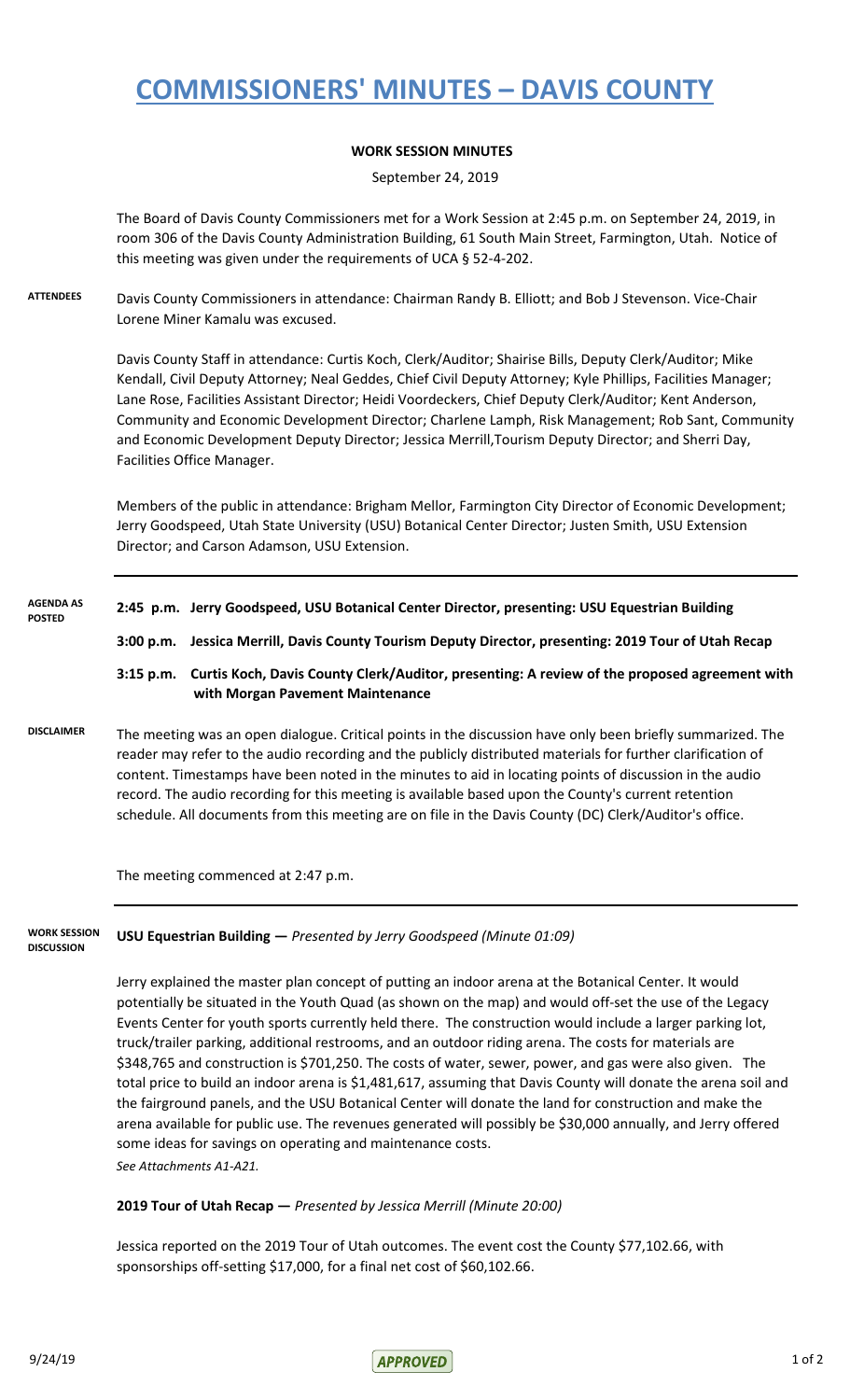# **COMMISSIONERS' MINUTES – DAVIS COUNTY**

## **WORK SESSION MINUTES**

September 24, 2019

The Board of Davis County Commissioners met for a Work Session at 2:45 p.m. on September 24, 2019, in room 306 of the Davis County Administration Building, 61 South Main Street, Farmington, Utah. Notice of this meeting was given under the requirements of UCA § 52-4-202.

**ATTENDEES** Davis County Commissioners in attendance: Chairman Randy B. Elliott; and Bob J Stevenson. Vice-Chair Lorene Miner Kamalu was excused.

> Davis County Staff in attendance: Curtis Koch, Clerk/Auditor; Shairise Bills, Deputy Clerk/Auditor; Mike Kendall, Civil Deputy Attorney; Neal Geddes, Chief Civil Deputy Attorney; Kyle Phillips, Facilities Manager; Lane Rose, Facilities Assistant Director; Heidi Voordeckers, Chief Deputy Clerk/Auditor; Kent Anderson, Community and Economic Development Director; Charlene Lamph, Risk Management; Rob Sant, Community and Economic Development Deputy Director; Jessica Merrill,Tourism Deputy Director; and Sherri Day, Facilities Office Manager.

Members of the public in attendance: Brigham Mellor, Farmington City Director of Economic Development; Jerry Goodspeed, Utah State University (USU) Botanical Center Director; Justen Smith, USU Extension Director; and Carson Adamson, USU Extension.

| <b>AGENDA AS</b><br><b>POSTED</b> |                                                                                                                                                                                                                                                                                                                                                                                                                                                                                                                                                       | 2:45 p.m. Jerry Goodspeed, USU Botanical Center Director, presenting: USU Equestrian Building                                    |
|-----------------------------------|-------------------------------------------------------------------------------------------------------------------------------------------------------------------------------------------------------------------------------------------------------------------------------------------------------------------------------------------------------------------------------------------------------------------------------------------------------------------------------------------------------------------------------------------------------|----------------------------------------------------------------------------------------------------------------------------------|
|                                   | 3:00 p.m.                                                                                                                                                                                                                                                                                                                                                                                                                                                                                                                                             | Jessica Merrill, Davis County Tourism Deputy Director, presenting: 2019 Tour of Utah Recap                                       |
|                                   | $3:15$ p.m.                                                                                                                                                                                                                                                                                                                                                                                                                                                                                                                                           | Curtis Koch, Davis County Clerk/Auditor, presenting: A review of the proposed agreement with<br>with Morgan Pavement Maintenance |
| <b>DISCLAIMER</b>                 | The meeting was an open dialogue. Critical points in the discussion have only been briefly summarized. The<br>reader may refer to the audio recording and the publicly distributed materials for further clarification of<br>content. Timestamps have been noted in the minutes to aid in locating points of discussion in the audio<br>record. The audio recording for this meeting is available based upon the County's current retention<br>schedule. All documents from this meeting are on file in the Davis County (DC) Clerk/Auditor's office. |                                                                                                                                  |
|                                   | The meeting commenced at 2:47 p.m.                                                                                                                                                                                                                                                                                                                                                                                                                                                                                                                    |                                                                                                                                  |
|                                   |                                                                                                                                                                                                                                                                                                                                                                                                                                                                                                                                                       |                                                                                                                                  |

#### **WORK SESSION DISCUSSION**

**USU Equestrian Building —** *Presented by Jerry Goodspeed (Minute 01:09)*

Jerry explained the master plan concept of putting an indoor arena at the Botanical Center. It would potentially be situated in the Youth Quad (as shown on the map) and would off-set the use of the Legacy Events Center for youth sports currently held there. The construction would include a larger parking lot, truck/trailer parking, additional restrooms, and an outdoor riding arena. The costs for materials are \$348,765 and construction is \$701,250. The costs of water, sewer, power, and gas were also given. The total price to build an indoor arena is \$1,481,617, assuming that Davis County will donate the arena soil and the fairground panels, and the USU Botanical Center will donate the land for construction and make the arena available for public use. The revenues generated will possibly be \$30,000 annually, and Jerry offered some ideas for savings on operating and maintenance costs. *See Attachments A1-A21.*

### **2019 Tour of Utah Recap —** *Presented by Jessica Merrill (Minute 20:00)*

Jessica reported on the 2019 Tour of Utah outcomes. The event cost the County \$77,102.66, with sponsorships off-setting \$17,000, for a final net cost of \$60,102.66.

 $\triangle$  9/24/19 1 of 2